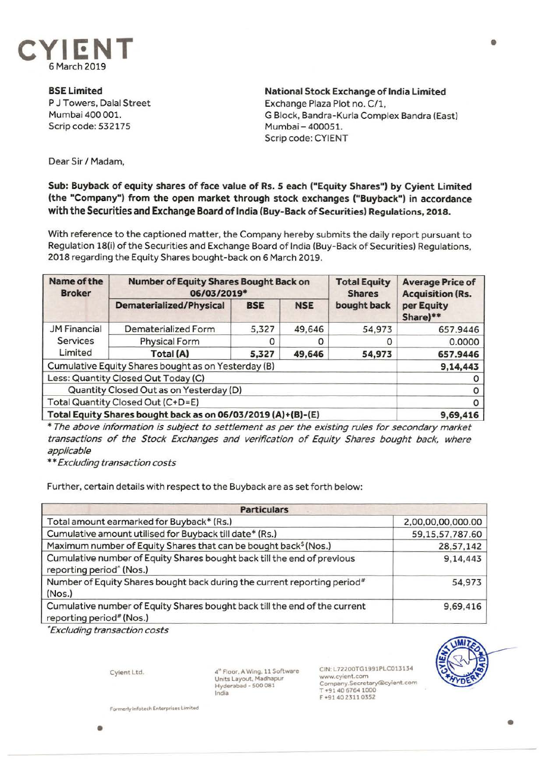

**BSELimited**  P J Towers, Dalal Street Mumbai 400 001. Scrip code: 532175

**National Stock Exchange of India Limited**  Exchange Plaza Plot no. C/1, G Block, Bandra-Kurla Complex Sandra (East) Mumbai-400051. Scrip code: CYIENT

Dear Sir/ Madam,

## **Sub: Buyback of equity shares of face value of Rs. S each ("Equity Shares") by Cyient Limited (the "Company") from the open market through stock exchanges ("Buyback") in accordance with the Securities and Exchange Board of India (Buy-Back of Securities) Regulations, 2018.**

With reference to the captioned matter, the Company hereby submits the daily report pursuant to Regulation 18(i) of the Securities and Exchange Board of India (Buy-Back of Securities) Regulations, 2018 regarding the Equity Shares bought-back on 6 March 2019.

| Name of the<br><b>Broker</b>                                 | <b>Number of Equity Shares Bought Back on</b><br>06/03/2019* |            |            | <b>Total Equity</b><br><b>Shares</b> | <b>Average Price of</b><br><b>Acquisition (Rs.</b> |
|--------------------------------------------------------------|--------------------------------------------------------------|------------|------------|--------------------------------------|----------------------------------------------------|
|                                                              | <b>Dematerialized/Physical</b>                               | <b>BSE</b> | <b>NSE</b> | bought back                          | per Equity<br>Share)**                             |
| <b>JM Financial</b><br><b>Services</b><br>Limited            | Dematerialized Form                                          | 5,327      | 49,646     | 54,973                               | 657.9446                                           |
|                                                              | <b>Physical Form</b>                                         |            |            |                                      | 0.0000                                             |
|                                                              | Total (A)                                                    | 5,327      | 49,646     | 54,973                               | 657.9446                                           |
| Cumulative Equity Shares bought as on Yesterday (B)          |                                                              |            |            |                                      | 9,14,443                                           |
| Less: Quantity Closed Out Today (C)                          |                                                              |            |            |                                      |                                                    |
| Quantity Closed Out as on Yesterday (D)                      |                                                              |            |            |                                      |                                                    |
| Total Quantity Closed Out (C+D=E)                            |                                                              |            |            |                                      |                                                    |
| Total Equity Shares bought back as on 06/03/2019 (A)+(B)-(E) |                                                              |            |            |                                      | 9,69,416                                           |

\* The above information is subject to settlement as per the existing rules for secondary market transactions of the Stock Exchanges and verification of Equity Shares bought back, where applicable

\*\* Excluding transaction costs

Further, certain details with respect to the Buyback are as set forth below:

| <b>Particulars</b>                                                                                              |                    |  |  |  |
|-----------------------------------------------------------------------------------------------------------------|--------------------|--|--|--|
| Total amount earmarked for Buyback* (Rs.)                                                                       | 2,00,00,00,000.00  |  |  |  |
| Cumulative amount utilised for Buyback till date* (Rs.)                                                         | 59, 15, 57, 787.60 |  |  |  |
| Maximum number of Equity Shares that can be bought back <sup>\$</sup> (Nos.)                                    | 28,57,142          |  |  |  |
| Cumulative number of Equity Shares bought back till the end of previous<br>reporting period <sup>^</sup> (Nos.) | 9,14,443           |  |  |  |
| Number of Equity Shares bought back during the current reporting period <sup>#</sup><br>(Nos.)                  | 54,973             |  |  |  |
| Cumulative number of Equity Shares bought back till the end of the current<br>reporting period# (Nos.)          | 9,69,416           |  |  |  |

• Excluding transaction costs

Cyient Ltd.

4<sup>th</sup> Floor, A Wing, 11 Software Units Layout, Madhapur Hyderabad • 500 081 India

CIN:L72200TG1991PLC013134 www.cyient.com Company.Secretary®cyient-com T +91406764 1000 F +9140 23110352



•

**Formertylnfotech Enterprises Ufflited** 

•